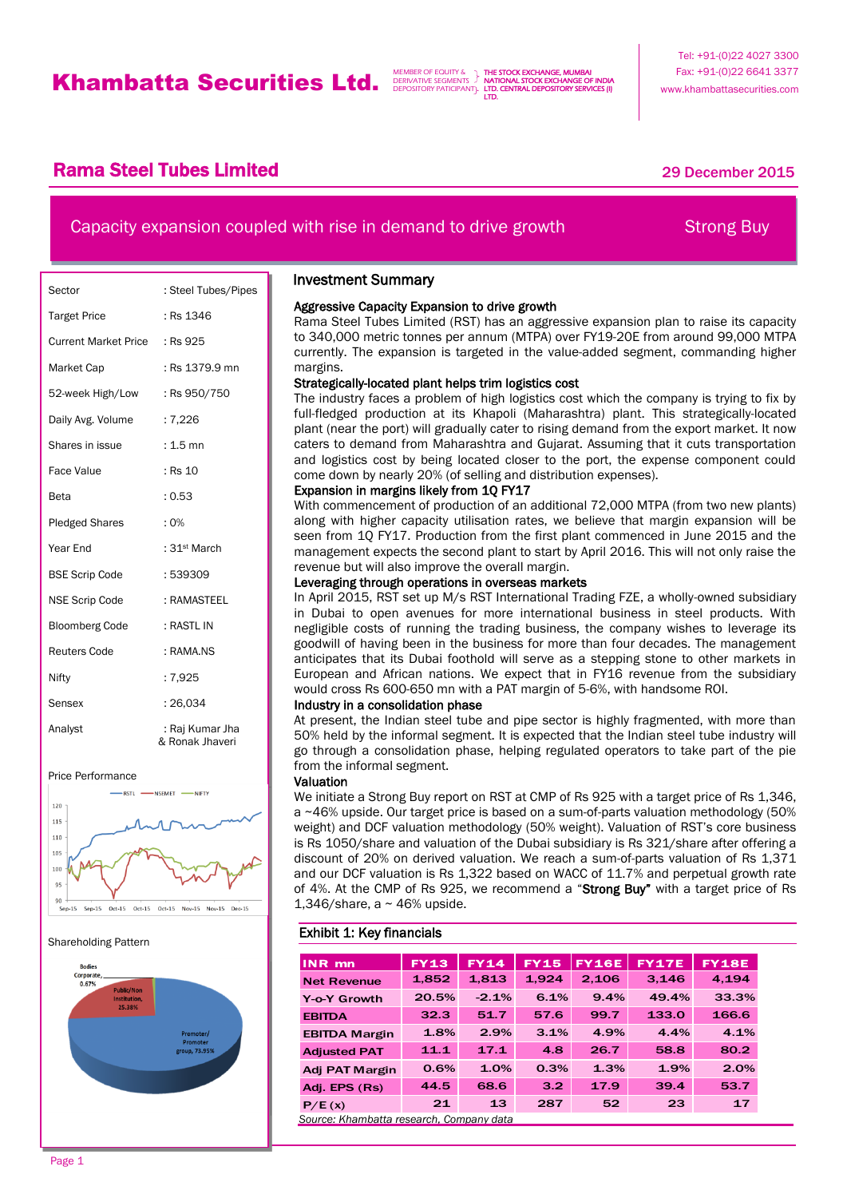THE STOCK EXCHANGE, MUMBAI NATIONAL STOCK EXCHANGE OF INDIA LTD. CENTRAL DEPOSITORY SERVICES (I) LTD.

## **Rama Steel Tubes Limited 2015** 29 December 2015

# Capacity expansion coupled with rise in demand to drive growth Strong Buy

j

| Sector                        | : Steel Tubes/Pipes                |
|-------------------------------|------------------------------------|
| <b>Target Price</b>           | : Rs 1346                          |
| Current Market Price : Rs 925 |                                    |
| Market Cap                    | : Rs 1379.9 mn                     |
| 52-week High/Low              | : Rs 950/750                       |
| Daily Avg. Volume             | : 7,226                            |
| Shares in issue               | : 1.5 mn                           |
| <b>Face Value</b>             | : Rs 10                            |
| Beta                          | : 0.53                             |
| <b>Pledged Shares</b>         | $: 0\%$                            |
| Year End                      | : 31 <sup>st</sup> March           |
| <b>BSE Scrip Code</b>         | : 539309                           |
| <b>NSE Scrip Code</b>         | : RAMASTEEL                        |
| <b>Bloomberg Code</b>         | : RASTL IN                         |
| <b>Reuters Code</b>           | : RAMA.NS                          |
| Nifty                         | :7,925                             |
| Sensex                        | : 26.034                           |
| Analyst                       | : Raj Kumar Jha<br>& Ronak Jhaveri |





#### Shareholding Pattern



### Investment Summary

### Aggressive Capacity Expansion to drive growth

Rama Steel Tubes Limited (RST) has an aggressive expansion plan to raise its capacity to 340,000 metric tonnes per annum (MTPA) over FY19-20E from around 99,000 MTPA currently. The expansion is targeted in the value-added segment, commanding higher margins.

### Strategically-located plant helps trim logistics cost

The industry faces a problem of high logistics cost which the company is trying to fix by full-fledged production at its Khapoli (Maharashtra) plant. This strategically-located plant (near the port) will gradually cater to rising demand from the export market. It now caters to demand from Maharashtra and Gujarat. Assuming that it cuts transportation and logistics cost by being located closer to the port, the expense component could come down by nearly 20% (of selling and distribution expenses).

### Expansion in margins likely from 1Q FY17

With commencement of production of an additional 72,000 MTPA (from two new plants) along with higher capacity utilisation rates, we believe that margin expansion will be seen from 1Q FY17. Production from the first plant commenced in June 2015 and the management expects the second plant to start by April 2016. This will not only raise the revenue but will also improve the overall margin.

### Leveraging through operations in overseas markets

In April 2015, RST set up M/s RST International Trading FZE, a wholly-owned subsidiary in Dubai to open avenues for more international business in steel products. With negligible costs of running the trading business, the company wishes to leverage its goodwill of having been in the business for more than four decades. The management anticipates that its Dubai foothold will serve as a stepping stone to other markets in European and African nations. We expect that in FY16 revenue from the subsidiary would cross Rs 600-650 mn with a PAT margin of 5-6%, with handsome ROI.

### Industry in a consolidation phase

At present, the Indian steel tube and pipe sector is highly fragmented, with more than 50% held by the informal segment. It is expected that the Indian steel tube industry will go through a consolidation phase, helping regulated operators to take part of the pie from the informal segment.

#### Valuation

We initiate a Strong Buy report on RST at CMP of Rs 925 with a target price of Rs 1,346, a ~46% upside. Our target price is based on a sum-of-parts valuation methodology (50% weight) and DCF valuation methodology (50% weight). Valuation of RST's core business is Rs 1050/share and valuation of the Dubai subsidiary is Rs 321/share after offering a discount of 20% on derived valuation. We reach a sum-of-parts valuation of Rs 1,371 and our DCF valuation is Rs 1,322 based on WACC of 11.7% and perpetual growth rate of 4%. At the CMP of Rs 925, we recommend a "Strong Buy" with a target price of Rs 1,346/share, a  $\sim$  46% upside.

### Exhibit 1: Key financials

| <b>INR</b> mn                            | <b>FY13</b> | <b>FY14</b> | <b>FY15</b> | <b>FY16E</b> | <b>FY17E</b> | <b>FY18E</b> |
|------------------------------------------|-------------|-------------|-------------|--------------|--------------|--------------|
| <b>Net Revenue</b>                       | 1,852       | 1,813       | 1,924       | 2,106        | 3,146        | 4,194        |
| Y-o-Y Growth                             | 20.5%       | $-2.1%$     | 6.1%        | 9.4%         | 49.4%        | 33.3%        |
| <b>EBITDA</b>                            | 32.3        | 51.7        | 57.6        | 99.7         | 133.0        | 166.6        |
| <b>EBITDA Margin</b>                     | 1.8%        | 2.9%        | 3.1%        | 4.9%         | 4.4%         | 4.1%         |
| <b>Adjusted PAT</b>                      | 11.1        | 17.1        | 4.8         | 26.7         | 58.8         | 80.2         |
| Adj PAT Margin                           | 0.6%        | 1.0%        | 0.3%        | 1.3%         | 1.9%         | 2.0%         |
| Adj. EPS (Rs)                            | 44.5        | 68.6        | 3.2         | 17.9         | 39.4         | 53.7         |
| P/E(x)                                   | 21          | 13          | 287         | 52           | 23           | 17           |
| Source: Khambatta research, Company data |             |             |             |              |              |              |

Page 1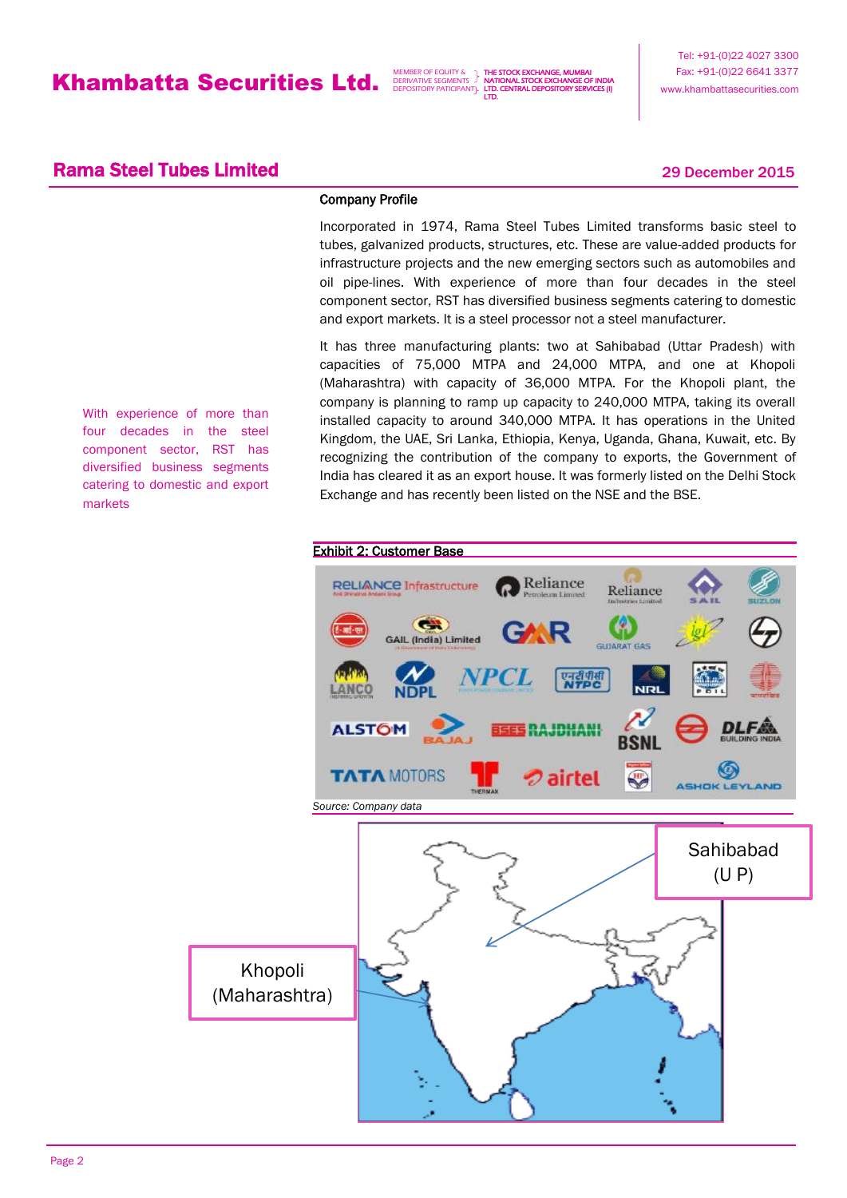THE STOCK EXCHANGE, MUMBAI NATIONAL STOCK EXCHANGE OF INDIA LTD. CENTRAL DEPOSITORY SERVICES (I) LTD.

## **Rama Steel Tubes Limited 2015** 29 December 2015

### Company Profile

Incorporated in 1974, Rama Steel Tubes Limited transforms basic steel to tubes, galvanized products, structures, etc. These are value-added products for infrastructure projects and the new emerging sectors such as automobiles and oil pipe-lines. With experience of more than four decades in the steel component sector, RST has diversified business segments catering to domestic and export markets. It is a steel processor not a steel manufacturer.

It has three manufacturing plants: two at Sahibabad (Uttar Pradesh) with capacities of 75,000 MTPA and 24,000 MTPA, and one at Khopoli (Maharashtra) with capacity of 36,000 MTPA. For the Khopoli plant, the company is planning to ramp up capacity to 240,000 MTPA, taking its overall installed capacity to around 340,000 MTPA. It has operations in the United Kingdom, the UAE, Sri Lanka, Ethiopia, Kenya, Uganda, Ghana, Kuwait, etc. By recognizing the contribution of the company to exports, the Government of India has cleared it as an export house. It was formerly listed on the Delhi Stock Exchange and has recently been listed on the NSE and the BSE.



With experience of more than four decades in the steel component sector, RST has diversified business segments catering to domestic and export markets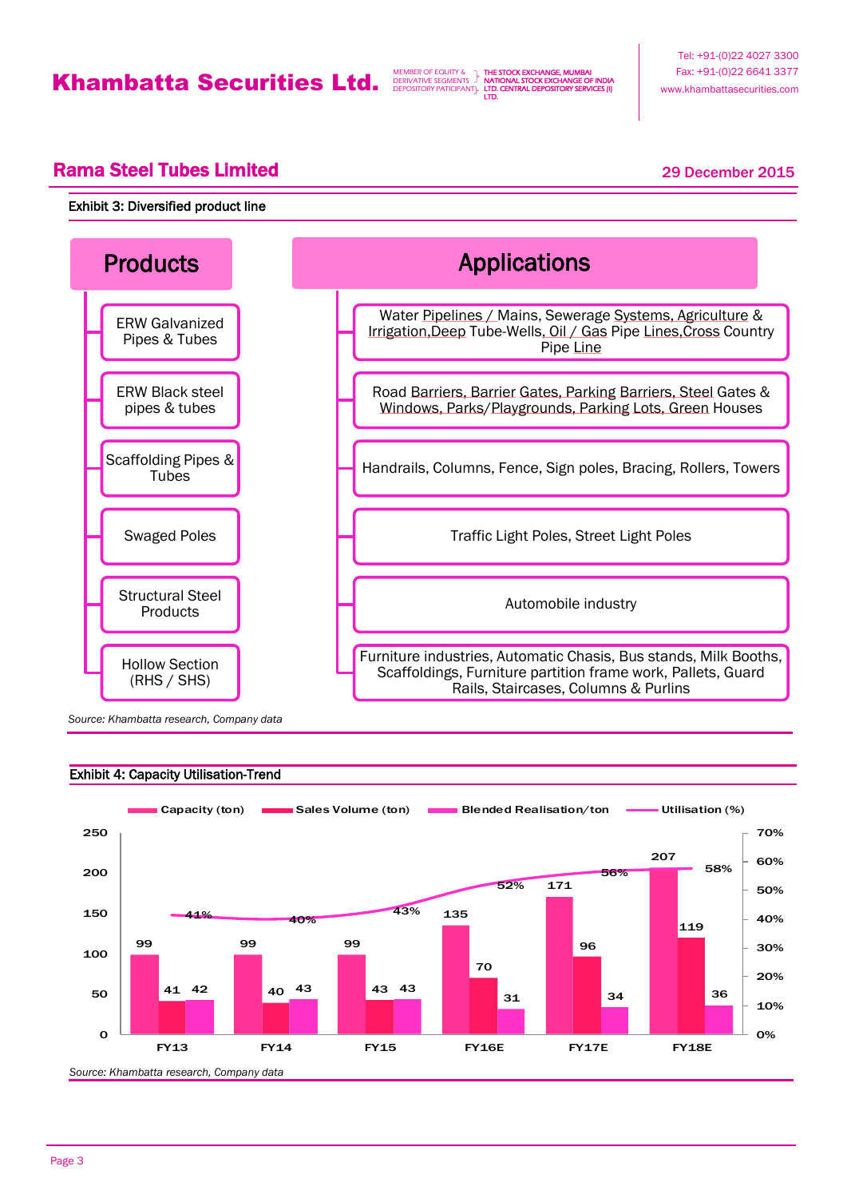THE STOCK EXCHANGE, MUMBAI NATIONAL STOCK EXCHANGE OF INDIA LTD. CENTRAL DEPOSITORY SERVICES (I) LTD.

## **Rama Steel Tubes Limited 2015** 29 December 2015

### Exhibit 3: Diversified product line



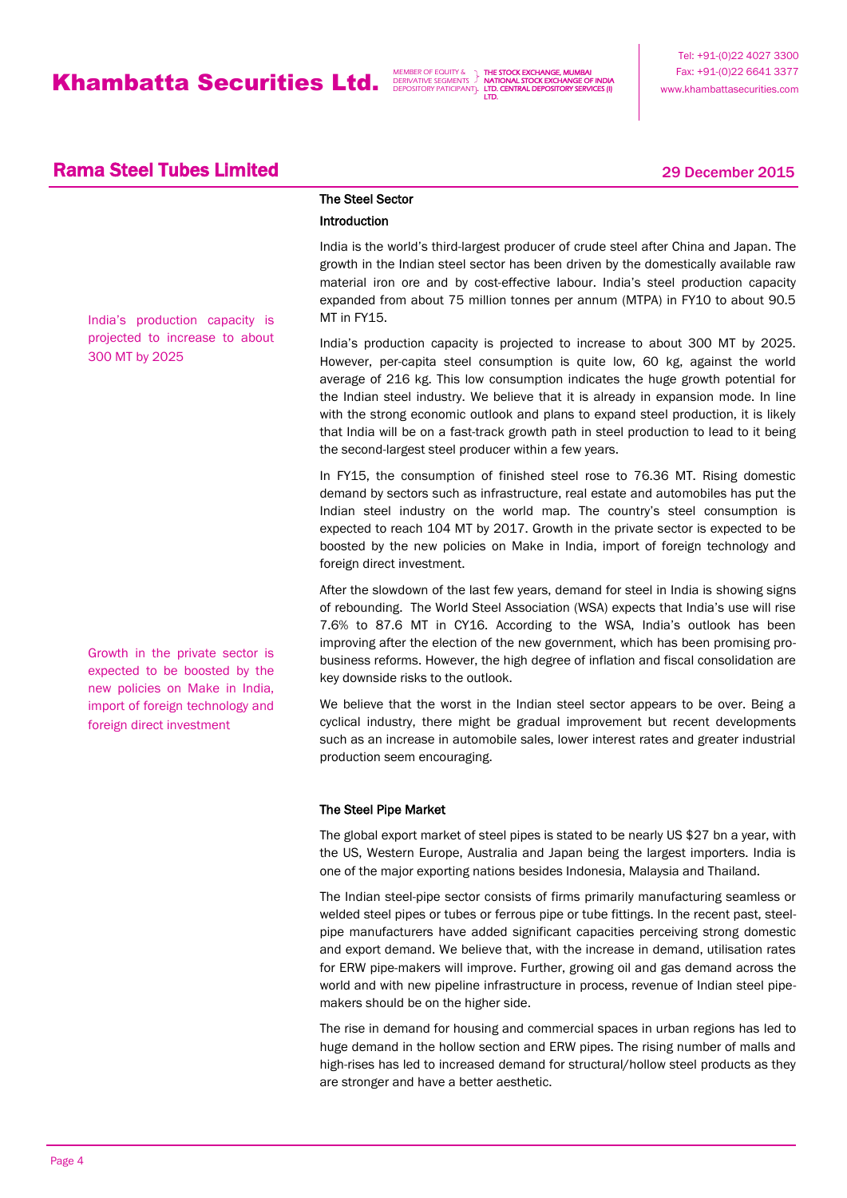THE STOCK EXCHANGE, MUMBAI NATIONAL STOCK EXCHANGE OF INDIA LTD. CENTRAL DEPOSITORY SERVICES (I) LTD.

## **Rama Steel Tubes Limited 2015** 29 December 2015

India's production capacity is projected to increase to about 300 MT by 2025

Growth in the private sector is expected to be boosted by the new policies on Make in India, import of foreign technology and foreign direct investment

# The Steel Sector

### Introduction

India is the world's third-largest producer of crude steel after China and Japan. The growth in the Indian steel sector has been driven by the domestically available raw material iron ore and by cost-effective labour. India's steel production capacity expanded from about 75 million tonnes per annum (MTPA) in FY10 to about 90.5 MT in FY15.

India's production capacity is projected to increase to about 300 MT by 2025. However, per-capita steel consumption is quite low, 60 kg, against the world average of 216 kg. This low consumption indicates the huge growth potential for the Indian steel industry. We believe that it is already in expansion mode. In line with the strong economic outlook and plans to expand steel production, it is likely that India will be on a fast-track growth path in steel production to lead to it being the second-largest steel producer within a few years.

In FY15, the consumption of finished steel rose to 76.36 MT. Rising domestic demand by sectors such as infrastructure, real estate and automobiles has put the Indian steel industry on the world map. The country's steel consumption is expected to reach 104 MT by 2017. Growth in the private sector is expected to be boosted by the new policies on Make in India, import of foreign technology and foreign direct investment.

After the slowdown of the last few years, demand for steel in India is showing signs of rebounding. The World Steel Association (WSA) expects that India's use will rise 7.6% to 87.6 MT in CY16. According to the WSA, India's outlook has been improving after the election of the new government, which has been promising probusiness reforms. However, the high degree of inflation and fiscal consolidation are key downside risks to the outlook.

We believe that the worst in the Indian steel sector appears to be over. Being a cyclical industry, there might be gradual improvement but recent developments such as an increase in automobile sales, lower interest rates and greater industrial production seem encouraging.

### The Steel Pipe Market

The global export market of steel pipes is stated to be nearly US \$27 bn a year, with the US, Western Europe, Australia and Japan being the largest importers. India is one of the major exporting nations besides Indonesia, Malaysia and Thailand.

The Indian steel-pipe sector consists of firms primarily manufacturing seamless or welded steel pipes or tubes or ferrous pipe or tube fittings. In the recent past, steelpipe manufacturers have added significant capacities perceiving strong domestic and export demand. We believe that, with the increase in demand, utilisation rates for ERW pipe-makers will improve. Further, growing oil and gas demand across the world and with new pipeline infrastructure in process, revenue of Indian steel pipemakers should be on the higher side.

The rise in demand for housing and commercial spaces in urban regions has led to huge demand in the hollow section and ERW pipes. The rising number of malls and high-rises has led to increased demand for structural/hollow steel products as they are stronger and have a better aesthetic.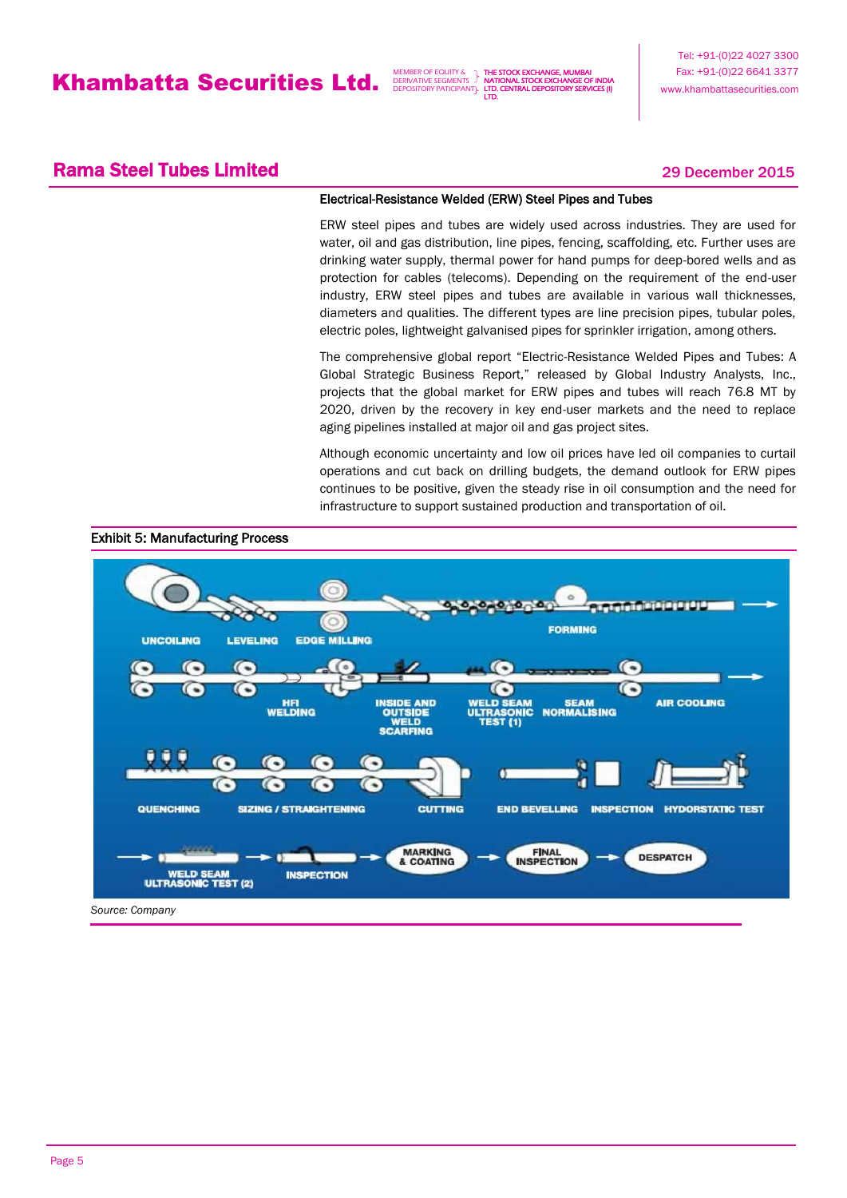THE STOCK EXCHANGE, MUMBAI NATIONAL STOCK EXCHANGE OF INDIA LTD. CENTRAL DEPOSITORY SERVICES (I) LTD.

## **Rama Steel Tubes Limited 2015** 29 December 2015

### Electrical-Resistance Welded (ERW) Steel Pipes and Tubes

ERW steel pipes and tubes are widely used across industries. They are used for water, oil and gas distribution, line pipes, fencing, scaffolding, etc. Further uses are drinking water supply, thermal power for hand pumps for deep-bored wells and as protection for cables (telecoms). Depending on the requirement of the end-user industry, ERW steel pipes and tubes are available in various wall thicknesses, diameters and qualities. The different types are line precision pipes, tubular poles, electric poles, lightweight galvanised pipes for sprinkler irrigation, among others.

The comprehensive global report "Electric-Resistance Welded Pipes and Tubes: A Global Strategic Business Report," released by Global Industry Analysts, Inc., projects that the global market for ERW pipes and tubes will reach 76.8 MT by 2020, driven by the recovery in key end-user markets and the need to replace aging pipelines installed at major oil and gas project sites.

Although economic uncertainty and low oil prices have led oil companies to curtail operations and cut back on drilling budgets, the demand outlook for ERW pipes continues to be positive, given the steady rise in oil consumption and the need for infrastructure to support sustained production and transportation of oil.



### Exhibit 5: Manufacturing Process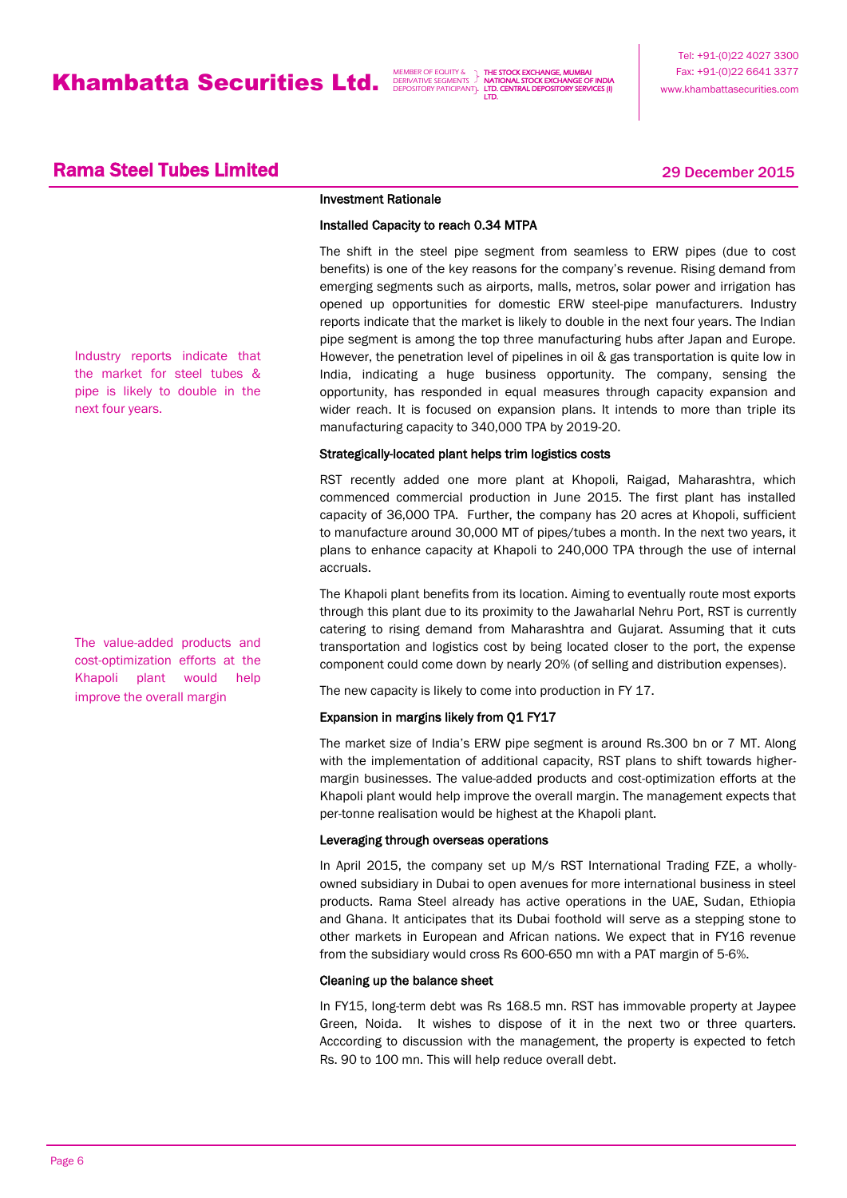THE STOCK EXCHANGE, MUMBAI NATIONAL STOCK EXCHANGE OF INDIA LTD. CENTRAL DEPOSITORY SERVICES (I) LTD.

## **Rama Steel Tubes Limited 2015** 29 December 2015

### Investment Rationale

### Installed Capacity to reach 0.34 MTPA

The shift in the steel pipe segment from seamless to ERW pipes (due to cost benefits) is one of the key reasons for the company's revenue. Rising demand from emerging segments such as airports, malls, metros, solar power and irrigation has opened up opportunities for domestic ERW steel-pipe manufacturers. Industry reports indicate that the market is likely to double in the next four years. The Indian pipe segment is among the top three manufacturing hubs after Japan and Europe. However, the penetration level of pipelines in oil & gas transportation is quite low in India, indicating a huge business opportunity. The company, sensing the opportunity, has responded in equal measures through capacity expansion and wider reach. It is focused on expansion plans. It intends to more than triple its manufacturing capacity to 340,000 TPA by 2019-20.

### Strategically-located plant helps trim logistics costs

RST recently added one more plant at Khopoli, Raigad, Maharashtra, which commenced commercial production in June 2015. The first plant has installed capacity of 36,000 TPA. Further, the company has 20 acres at Khopoli, sufficient to manufacture around 30,000 MT of pipes/tubes a month. In the next two years, it plans to enhance capacity at Khapoli to 240,000 TPA through the use of internal accruals.

The Khapoli plant benefits from its location. Aiming to eventually route most exports through this plant due to its proximity to the Jawaharlal Nehru Port, RST is currently catering to rising demand from Maharashtra and Gujarat. Assuming that it cuts transportation and logistics cost by being located closer to the port, the expense component could come down by nearly 20% (of selling and distribution expenses).

The new capacity is likely to come into production in FY 17.

### Expansion in margins likely from Q1 FY17

The market size of India's ERW pipe segment is around Rs.300 bn or 7 MT. Along with the implementation of additional capacity, RST plans to shift towards highermargin businesses. The value-added products and cost-optimization efforts at the Khapoli plant would help improve the overall margin. The management expects that per-tonne realisation would be highest at the Khapoli plant.

### Leveraging through overseas operations

In April 2015, the company set up M/s RST International Trading FZE, a whollyowned subsidiary in Dubai to open avenues for more international business in steel products. Rama Steel already has active operations in the UAE, Sudan, Ethiopia and Ghana. It anticipates that its Dubai foothold will serve as a stepping stone to other markets in European and African nations. We expect that in FY16 revenue from the subsidiary would cross Rs 600-650 mn with a PAT margin of 5-6%.

### Cleaning up the balance sheet

In FY15, long-term debt was Rs 168.5 mn. RST has immovable property at Jaypee Green, Noida. It wishes to dispose of it in the next two or three quarters. Acccording to discussion with the management, the property is expected to fetch Rs. 90 to 100 mn. This will help reduce overall debt.

Industry reports indicate that the market for steel tubes & pipe is likely to double in the next four years.

The value-added products and cost-optimization efforts at the Khapoli plant would help improve the overall margin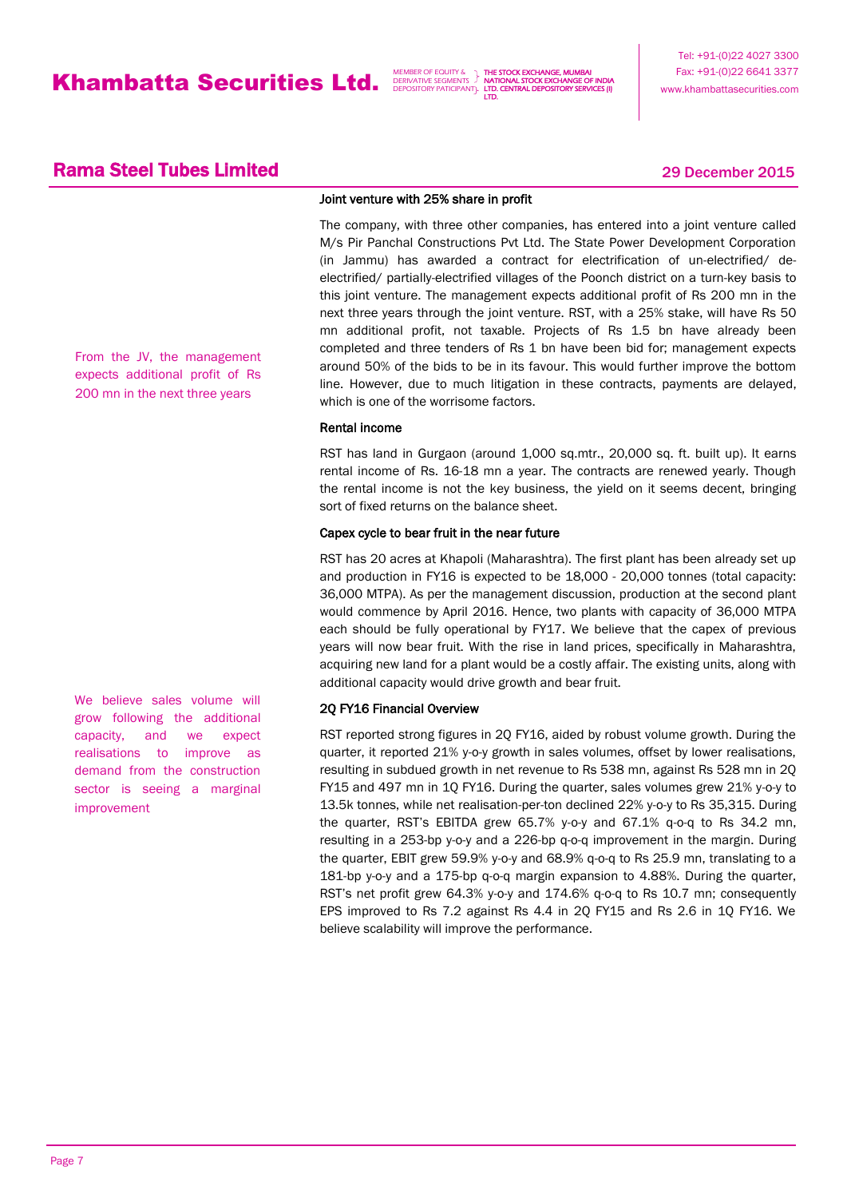THE STOCK EXCHANGE, MUMBAI NATIONAL STOCK EXCHANGE OF INDIA LTD. CENTRAL DEPOSITORY SERVICES (I) LTD.

## **Rama Steel Tubes Limited 2015** 29 December 2015

Joint venture with 25% share in profit

The company, with three other companies, has entered into a joint venture called M/s Pir Panchal Constructions Pvt Ltd. The State Power Development Corporation (in Jammu) has awarded a contract for electrification of un-electrified/ deelectrified/ partially-electrified villages of the Poonch district on a turn-key basis to this joint venture. The management expects additional profit of Rs 200 mn in the next three years through the joint venture. RST, with a 25% stake, will have Rs 50 mn additional profit, not taxable. Projects of Rs 1.5 bn have already been completed and three tenders of Rs 1 bn have been bid for; management expects around 50% of the bids to be in its favour. This would further improve the bottom line. However, due to much litigation in these contracts, payments are delayed, which is one of the worrisome factors.

### Rental income

RST has land in Gurgaon (around 1,000 sq.mtr., 20,000 sq. ft. built up). It earns rental income of Rs. 16-18 mn a year. The contracts are renewed yearly. Though the rental income is not the key business, the yield on it seems decent, bringing sort of fixed returns on the balance sheet.

### Capex cycle to bear fruit in the near future

RST has 20 acres at Khapoli (Maharashtra). The first plant has been already set up and production in FY16 is expected to be 18,000 - 20,000 tonnes (total capacity: 36,000 MTPA). As per the management discussion, production at the second plant would commence by April 2016. Hence, two plants with capacity of 36,000 MTPA each should be fully operational by FY17. We believe that the capex of previous years will now bear fruit. With the rise in land prices, specifically in Maharashtra, acquiring new land for a plant would be a costly affair. The existing units, along with additional capacity would drive growth and bear fruit.

### 2Q FY16 Financial Overview

RST reported strong figures in 2Q FY16, aided by robust volume growth. During the quarter, it reported 21% y-o-y growth in sales volumes, offset by lower realisations, resulting in subdued growth in net revenue to Rs 538 mn, against Rs 528 mn in 2Q FY15 and 497 mn in 1Q FY16. During the quarter, sales volumes grew 21% y-o-y to 13.5k tonnes, while net realisation-per-ton declined 22% y-o-y to Rs 35,315. During the quarter, RST's EBITDA grew 65.7% y-o-y and 67.1% q-o-q to Rs 34.2 mn, resulting in a 253-bp y-o-y and a 226-bp q-o-q improvement in the margin. During the quarter, EBIT grew 59.9% y-o-y and 68.9% q-o-q to Rs 25.9 mn, translating to a 181-bp y-o-y and a 175-bp q-o-q margin expansion to 4.88%. During the quarter, RST's net profit grew 64.3% y-o-y and 174.6% q-o-q to Rs 10.7 mn; consequently EPS improved to Rs 7.2 against Rs 4.4 in 2Q FY15 and Rs 2.6 in 1Q FY16. We believe scalability will improve the performance.

From the JV, the management expects additional profit of Rs 200 mn in the next three years

We believe sales volume will grow following the additional capacity, and we expect realisations to improve as demand from the construction sector is seeing a marginal improvement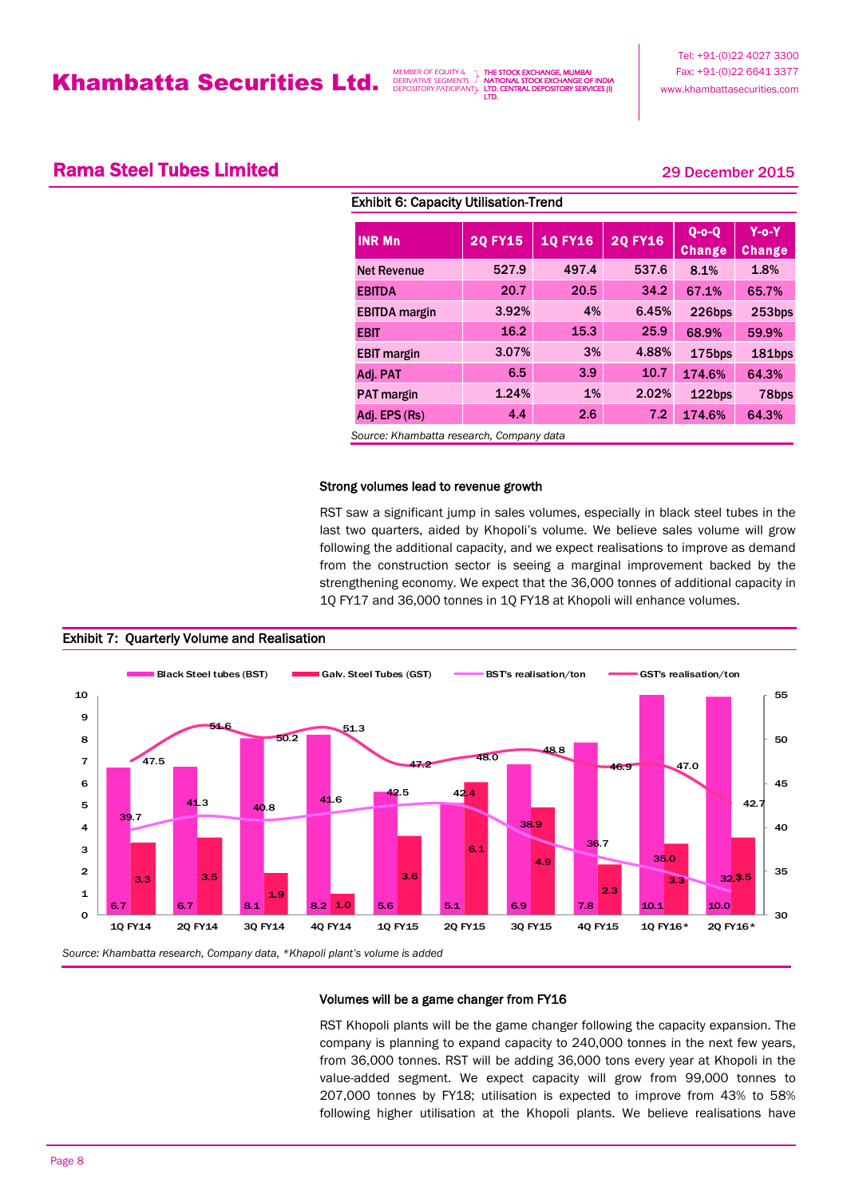THE STOCK EXCHANGE, MUMBAI **AL STOCK EXCHANGE OF** LTD. CENTRAL DEPOSITORY SERVICES (I) LTD.

## **Rama Steel Tubes Limited 2015** 29 December 2015

| <b>INR Mn</b>        | <b>10 FY16</b><br><b>20 FY15</b> |       | <b>20 FY16</b> | $Q$ -o-Q      | $Y$ -0- $Y$   |
|----------------------|----------------------------------|-------|----------------|---------------|---------------|
|                      |                                  |       |                | <b>Change</b> | <b>Change</b> |
| <b>Net Revenue</b>   | 527.9                            | 497.4 | 537.6          | 8.1%          | 1.8%          |
| <b>EBITDA</b>        | 20.7                             | 20.5  | 34.2           | 67.1%         | 65.7%         |
| <b>EBITDA</b> margin | 3.92%                            | 4%    | 6.45%          | 226bps        | 253bps        |
| <b>EBIT</b>          | 16.2                             | 15.3  | 25.9           | 68.9%         | 59.9%         |
| <b>EBIT</b> margin   | 3.07%                            | 3%    | 4.88%          | 175bps        | 181bps        |
| Adj. PAT             | 6.5                              | 3.9   | 10.7           | 174.6%        | 64.3%         |
| <b>PAT</b> margin    | 1.24%                            | $1\%$ | 2.02%          | 122bps        | 78bps         |
| Adj. EPS (Rs)        | 4.4                              | 2.6   | 7.2            | 174.6%        | 64.3%         |

*Source: Khambatta research, Company data*

### Strong volumes lead to revenue growth

RST saw a significant jump in sales volumes, especially in black steel tubes in the last two quarters, aided by Khopoli's volume. We believe sales volume will grow following the additional capacity, and we expect realisations to improve as demand from the construction sector is seeing a marginal improvement backed by the strengthening economy. We expect that the 36,000 tonnes of additional capacity in 1Q FY17 and 36,000 tonnes in 1Q FY18 at Khopoli will enhance volumes.



### Exhibit 7: Quarterly Volume and Realisation

### Volumes will be a game changer from FY16

RST Khopoli plants will be the game changer following the capacity expansion. The company is planning to expand capacity to 240,000 tonnes in the next few years, from 36,000 tonnes. RST will be adding 36,000 tons every year at Khopoli in the value-added segment. We expect capacity will grow from 99,000 tonnes to 207,000 tonnes by FY18; utilisation is expected to improve from 43% to 58% following higher utilisation at the Khopoli plants. We believe realisations have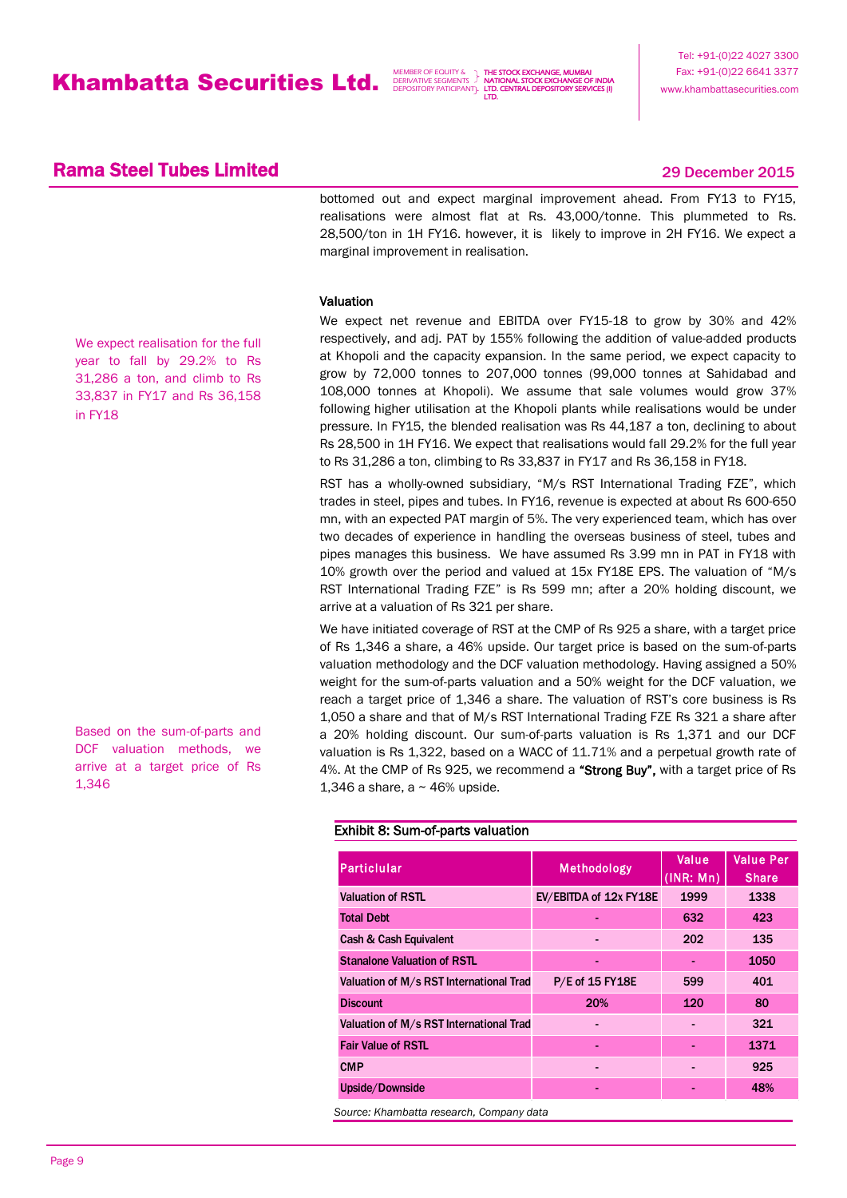THE STOCK EXCHANGE, MUMBAI NATIONAL STOCK EXCHANGE OF INDIA LTD. CENTRAL DEPOSITORY SERVICES (I) LTD.

Tel: +91-(0)22 4027 3300 Fax: +91-(0)22 6641 3377 www.khambattasecurities.com

### **Rama Steel Tubes Limited 2015** 29 December 2015

bottomed out and expect marginal improvement ahead. From FY13 to FY15, realisations were almost flat at Rs. 43,000/tonne. This plummeted to Rs. 28,500/ton in 1H FY16. however, it is likely to improve in 2H FY16. We expect a marginal improvement in realisation.

### Valuation

We expect realisation for the full year to fall by 29.2% to Rs 31,286 a ton, and climb to Rs 33,837 in FY17 and Rs 36,158 in FY18

Based on the sum-of-parts and DCF valuation methods, we arrive at a target price of Rs 1,346

We expect net revenue and EBITDA over FY15-18 to grow by 30% and 42% respectively, and adj. PAT by 155% following the addition of value-added products at Khopoli and the capacity expansion. In the same period, we expect capacity to grow by 72,000 tonnes to 207,000 tonnes (99,000 tonnes at Sahidabad and 108,000 tonnes at Khopoli). We assume that sale volumes would grow 37% following higher utilisation at the Khopoli plants while realisations would be under pressure. In FY15, the blended realisation was Rs 44,187 a ton, declining to about Rs 28,500 in 1H FY16. We expect that realisations would fall 29.2% for the full year to Rs 31,286 a ton, climbing to Rs 33,837 in FY17 and Rs 36,158 in FY18.

RST has a wholly-owned subsidiary, "M/s RST International Trading FZE", which trades in steel, pipes and tubes. In FY16, revenue is expected at about Rs 600-650 mn, with an expected PAT margin of 5%. The very experienced team, which has over two decades of experience in handling the overseas business of steel, tubes and pipes manages this business. We have assumed Rs 3.99 mn in PAT in FY18 with 10% growth over the period and valued at 15x FY18E EPS. The valuation of "M/s RST International Trading FZE" is Rs 599 mn; after a 20% holding discount, we arrive at a valuation of Rs 321 per share.

We have initiated coverage of RST at the CMP of Rs 925 a share, with a target price of Rs 1,346 a share, a 46% upside. Our target price is based on the sum-of-parts valuation methodology and the DCF valuation methodology. Having assigned a 50% weight for the sum-of-parts valuation and a 50% weight for the DCF valuation, we reach a target price of 1,346 a share. The valuation of RST's core business is Rs 1,050 a share and that of M/s RST International Trading FZE Rs 321 a share after a 20% holding discount. Our sum-of-parts valuation is Rs 1,371 and our DCF valuation is Rs 1,322, based on a WACC of 11.71% and a perpetual growth rate of 4%. At the CMP of Rs 925, we recommend a "Strong Buy", with a target price of Rs 1,346 a share, a  $\sim$  46% upside.

### Exhibit 8: Sum-of-parts valuation

| Particlular                             | Methodology            | Value<br>(INR: Mn) | <b>Value Per</b><br><b>Share</b> |
|-----------------------------------------|------------------------|--------------------|----------------------------------|
| Valuation of RSTL                       | EV/EBITDA of 12x FY18E | 1999               | 1338                             |
| <b>Total Debt</b>                       |                        | 632                | 423                              |
| Cash & Cash Equivalent                  |                        | 202                | 135                              |
| <b>Stanalone Valuation of RSTL</b>      | ٠                      |                    | 1050                             |
| Valuation of M/s RST International Trad | P/E of 15 FY18E        | 599                | 401                              |
| <b>Discount</b>                         | 20%                    | 120                | 80                               |
| Valuation of M/s RST International Trad |                        |                    | 321                              |
| <b>Fair Value of RSTL</b>               | $\blacksquare$         |                    | 1371                             |
| <b>CMP</b>                              |                        |                    | 925                              |
| Upside/Downside                         |                        |                    | 48%                              |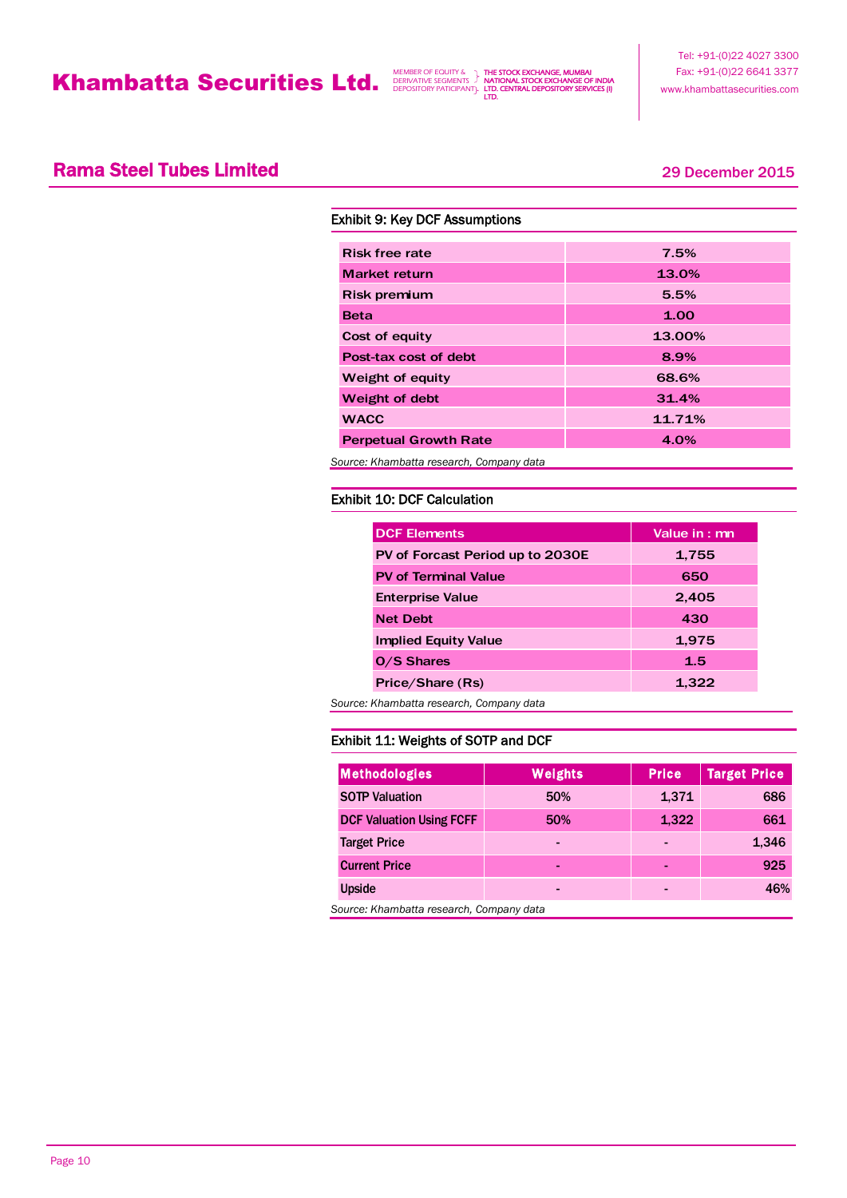THE STOCK EXCHANGE, MUMBAI NATIONAL STOCK EXCHANGE OF INDIA LTD. CENTRAL DEPOSITORY SERVICES (I) LTD.

## **Rama Steel Tubes Limited 2015** 29 December 2015

| <b>Exhibit 9: Key DCF Assumptions</b>    |        |  |  |  |  |  |
|------------------------------------------|--------|--|--|--|--|--|
|                                          |        |  |  |  |  |  |
| <b>Risk free rate</b>                    | 7.5%   |  |  |  |  |  |
| <b>Market return</b>                     | 13.0%  |  |  |  |  |  |
| <b>Risk premium</b>                      | 5.5%   |  |  |  |  |  |
| <b>Beta</b>                              | 1.00   |  |  |  |  |  |
| Cost of equity                           | 13.00% |  |  |  |  |  |
| Post-tax cost of debt                    | 8.9%   |  |  |  |  |  |
| Weight of equity                         | 68.6%  |  |  |  |  |  |
| Weight of debt                           | 31.4%  |  |  |  |  |  |
| <b>WACC</b>                              | 11.71% |  |  |  |  |  |
| <b>Perpetual Growth Rate</b>             | 4.0%   |  |  |  |  |  |
| Source: Khambatta research, Company data |        |  |  |  |  |  |

### Exhibit 10: DCF Calculation

| <b>DCF Elements</b>                      | Value in: mn |
|------------------------------------------|--------------|
| PV of Forcast Period up to 2030E         | 1,755        |
| <b>PV of Terminal Value</b>              | 650          |
| <b>Enterprise Value</b>                  | 2,405        |
| <b>Net Debt</b>                          | 430          |
| <b>Implied Equity Value</b>              | 1,975        |
| O/S Shares                               | 1.5          |
| Price/Share (Rs)                         | 1,322        |
| Source: Khambatta research, Company data |              |

### Exhibit 11: Weights of SOTP and DCF

| Methodologies                   | <b>Weights</b> | <b>Price</b> | <b>Target Price</b> |
|---------------------------------|----------------|--------------|---------------------|
| <b>SOTP Valuation</b>           | 50%            | 1,371        | 686                 |
| <b>DCF Valuation Using FCFF</b> | 50%            | 1,322        | 661                 |
| <b>Target Price</b>             | -              | -            | 1,346               |
| <b>Current Price</b>            | -              |              | 925                 |
| <b>Upside</b>                   | -              | -            | 46%                 |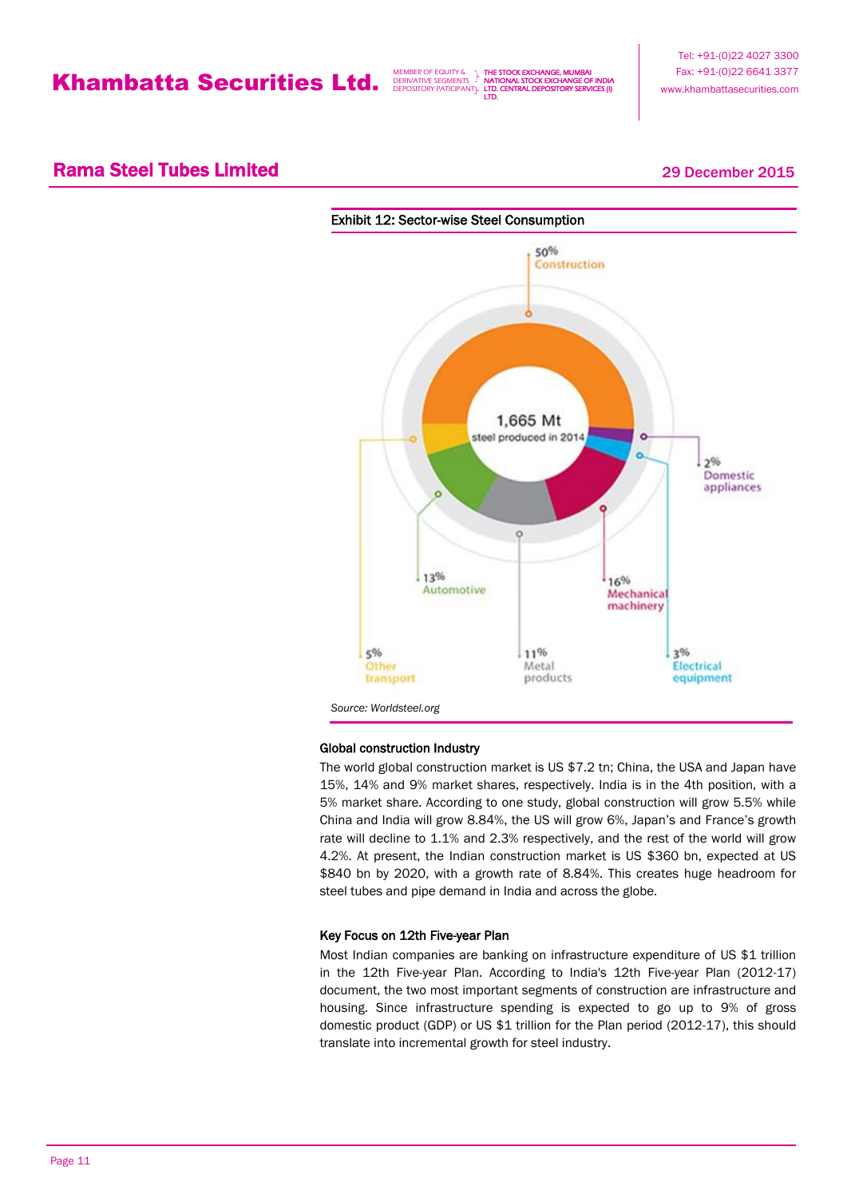THE STOCK EXCHANGE, MUMBAI **VAL STOCK EXCHANGE OF** LTD. CENTRAL DEPOSITORY SERVICES (I) LTD.

Tel: +91-(0)22 4027 3300 Fax: +91-(0)22 6641 3377 www.khambattasecurities.com

## **Rama Steel Tubes Limited 2015** 29 December 2015



### Global construction Industry

The world global construction market is US \$7.2 tn; China, the USA and Japan have 15%, 14% and 9% market shares, respectively. India is in the 4th position, with a 5% market share. According to one study, global construction will grow 5.5% while China and India will grow 8.84%, the US will grow 6%, Japan's and France's growth rate will decline to 1.1% and 2.3% respectively, and the rest of the world will grow 4.2%. At present, the Indian construction market is US \$360 bn, expected at US \$840 bn by 2020, with a growth rate of 8.84%. This creates huge headroom for steel tubes and pipe demand in India and across the globe.

### Key Focus on 12th Five-year Plan

Most Indian companies are banking on infrastructure expenditure of US \$1 trillion in the 12th Five-year Plan. According to India's 12th Five-year Plan (2012-17) document, the two most important segments of construction are infrastructure and housing. Since infrastructure spending is expected to go up to 9% of gross domestic product (GDP) or US \$1 trillion for the Plan period (2012-17), this should translate into incremental growth for steel industry.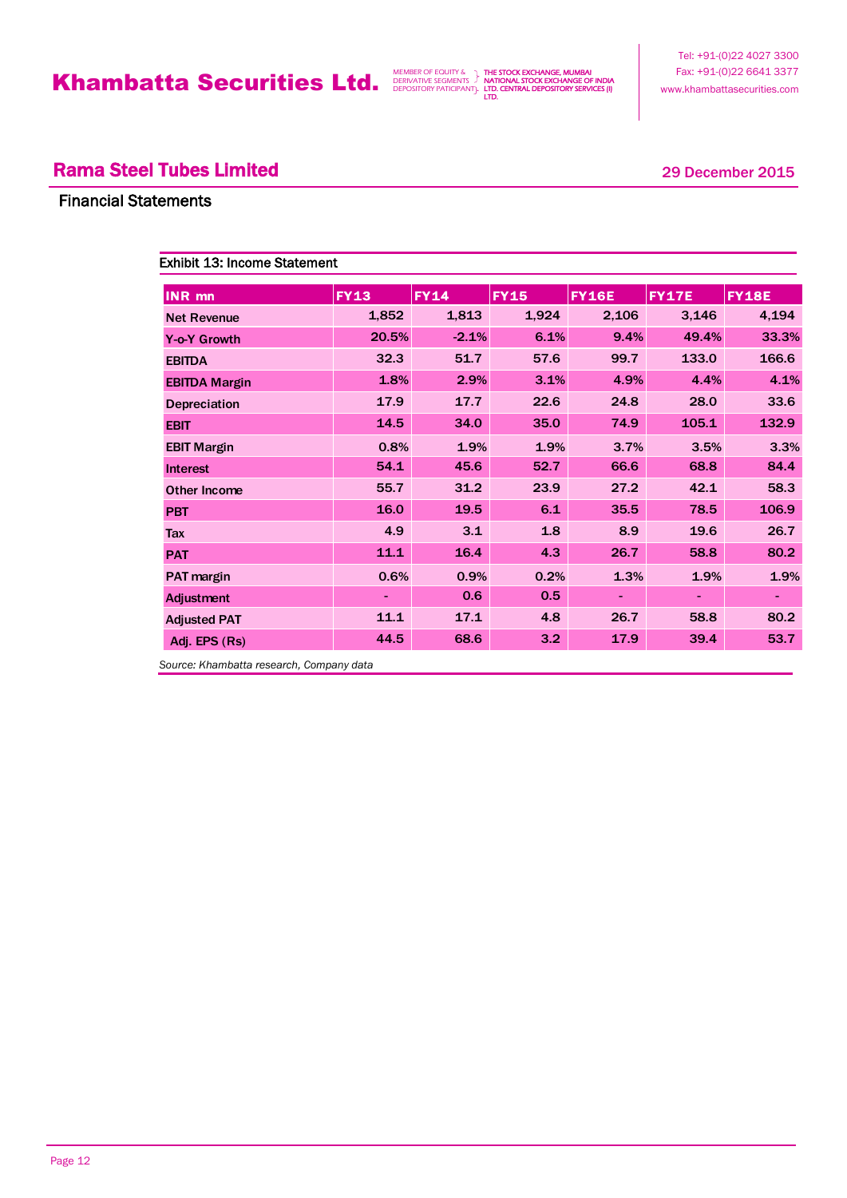THE STOCK EXCHANGE, MUMBAI NATIONAL STOCK EXCHANGE OF INDIA LTD. CENTRAL DEPOSITORY SERVICES (I) LTD.

## **Rama Steel Tubes Limited 2015** 29 December 2015

### Financial Statements

| <b>Exhibit 13: Income Statement</b> |                |             |             |              |              |                |
|-------------------------------------|----------------|-------------|-------------|--------------|--------------|----------------|
| <b>INR</b> mn                       | <b>FY13</b>    | <b>FY14</b> | <b>FY15</b> | <b>FY16E</b> | <b>FY17E</b> | <b>FY18E</b>   |
| <b>Net Revenue</b>                  | 1,852          | 1,813       | 1,924       | 2,106        | 3,146        | 4,194          |
| <b>Y-o-Y Growth</b>                 | 20.5%          | $-2.1%$     | 6.1%        | 9.4%         | 49.4%        | 33.3%          |
| <b>EBITDA</b>                       | 32.3           | 51.7        | 57.6        | 99.7         | 133.0        | 166.6          |
| <b>EBITDA Margin</b>                | 1.8%           | 2.9%        | 3.1%        | 4.9%         | 4.4%         | 4.1%           |
| Depreciation                        | 17.9           | 17.7        | 22.6        | 24.8         | 28.0         | 33.6           |
| <b>EBIT</b>                         | 14.5           | 34.0        | 35.0        | 74.9         | 105.1        | 132.9          |
| <b>EBIT Margin</b>                  | 0.8%           | 1.9%        | 1.9%        | 3.7%         | 3.5%         | 3.3%           |
| <b>Interest</b>                     | 54.1           | 45.6        | 52.7        | 66.6         | 68.8         | 84.4           |
| Other Income                        | 55.7           | 31.2        | 23.9        | 27.2         | 42.1         | 58.3           |
| <b>PBT</b>                          | 16.0           | 19.5        | 6.1         | 35.5         | 78.5         | 106.9          |
| Tax                                 | 4.9            | 3.1         | 1.8         | 8.9          | 19.6         | 26.7           |
| <b>PAT</b>                          | 11.1           | 16.4        | 4.3         | 26.7         | 58.8         | 80.2           |
| PAT margin                          | 0.6%           | 0.9%        | 0.2%        | 1.3%         | 1.9%         | 1.9%           |
| Adjustment                          | $\blacksquare$ | 0.6         | 0.5         |              |              | $\blacksquare$ |
| <b>Adjusted PAT</b>                 | 11.1           | 17.1        | 4.8         | 26.7         | 58.8         | 80.2           |
| Adj. EPS (Rs)                       | 44.5           | 68.6        | 3.2         | 17.9         | 39.4         | 53.7           |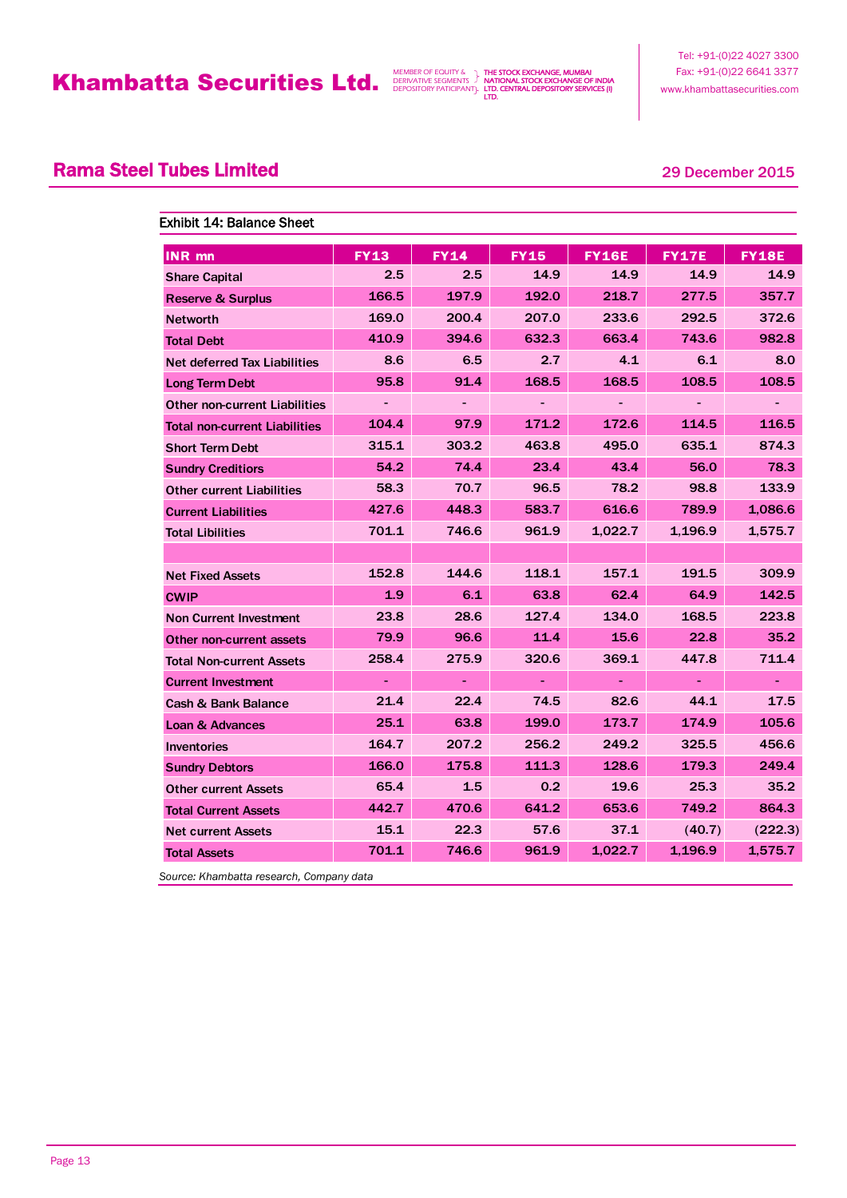THE STOCK EXCHANGE, MUMBAI NATIONAL STOCK EXCHANGE OF INDIA LTD. CENTRAL DEPOSITORY SERVICES (I) LTD.

Tel: +91-(0)22 4027 3300 Fax: +91-(0)22 6641 3377 www.khambattasecurities.com

## **Rama Steel Tubes Limited 2015** 29 December 2015

| <b>Exhibit 14: Balance Sheet</b>     |             |             |             |              |         |              |  |
|--------------------------------------|-------------|-------------|-------------|--------------|---------|--------------|--|
| <b>INR</b> mn                        | <b>FY13</b> | <b>FY14</b> | <b>FY15</b> | <b>FY16E</b> | FY17E   | <b>FY18E</b> |  |
| <b>Share Capital</b>                 | 2.5         | 2.5         | 14.9        | 14.9         | 14.9    | 14.9         |  |
| <b>Reserve &amp; Surplus</b>         | 166.5       | 197.9       | 192.0       | 218.7        | 277.5   | 357.7        |  |
| <b>Networth</b>                      | 169.0       | 200.4       | 207.0       | 233.6        | 292.5   | 372.6        |  |
| <b>Total Debt</b>                    | 410.9       | 394.6       | 632.3       | 663.4        | 743.6   | 982.8        |  |
| Net deferred Tax Liabilities         | 8.6         | 6.5         | 2.7         | 4.1          | 6.1     | 8.0          |  |
| <b>Long Term Debt</b>                | 95.8        | 91.4        | 168.5       | 168.5        | 108.5   | 108.5        |  |
| <b>Other non-current Liabilities</b> |             |             |             |              |         |              |  |
| <b>Total non-current Liabilities</b> | 104.4       | 97.9        | 171.2       | 172.6        | 114.5   | 116.5        |  |
| <b>Short Term Debt</b>               | 315.1       | 303.2       | 463.8       | 495.0        | 635.1   | 874.3        |  |
| <b>Sundry Creditiors</b>             | 54.2        | 74.4        | 23.4        | 43.4         | 56.0    | 78.3         |  |
| <b>Other current Liabilities</b>     | 58.3        | 70.7        | 96.5        | 78.2         | 98.8    | 133.9        |  |
| <b>Current Liabilities</b>           | 427.6       | 448.3       | 583.7       | 616.6        | 789.9   | 1,086.6      |  |
| <b>Total Libilities</b>              | 701.1       | 746.6       | 961.9       | 1,022.7      | 1,196.9 | 1,575.7      |  |
|                                      |             |             |             |              |         |              |  |
| <b>Net Fixed Assets</b>              | 152.8       | 144.6       | 118.1       | 157.1        | 191.5   | 309.9        |  |
| <b>CWIP</b>                          | 1.9         | 6.1         | 63.8        | 62.4         | 64.9    | 142.5        |  |
| <b>Non Current Investment</b>        | 23.8        | 28.6        | 127.4       | 134.0        | 168.5   | 223.8        |  |
| Other non-current assets             | 79.9        | 96.6        | 11.4        | 15.6         | 22.8    | 35.2         |  |
| <b>Total Non-current Assets</b>      | 258.4       | 275.9       | 320.6       | 369.1        | 447.8   | 711.4        |  |
| <b>Current Investment</b>            |             |             |             |              |         |              |  |
| Cash & Bank Balance                  | 21.4        | 22.4        | 74.5        | 82.6         | 44.1    | 17.5         |  |
| <b>Loan &amp; Advances</b>           | 25.1        | 63.8        | 199.0       | 173.7        | 174.9   | 105.6        |  |
| <b>Inventories</b>                   | 164.7       | 207.2       | 256.2       | 249.2        | 325.5   | 456.6        |  |
| <b>Sundry Debtors</b>                | 166.0       | 175.8       | 111.3       | 128.6        | 179.3   | 249.4        |  |
| <b>Other current Assets</b>          | 65.4        | 1.5         | 0.2         | 19.6         | 25.3    | 35.2         |  |
| <b>Total Current Assets</b>          | 442.7       | 470.6       | 641.2       | 653.6        | 749.2   | 864.3        |  |
| <b>Net current Assets</b>            | 15.1        | 22.3        | 57.6        | 37.1         | (40.7)  | (222.3)      |  |
| <b>Total Assets</b>                  | 701.1       | 746.6       | 961.9       | 1,022.7      | 1,196.9 | 1,575.7      |  |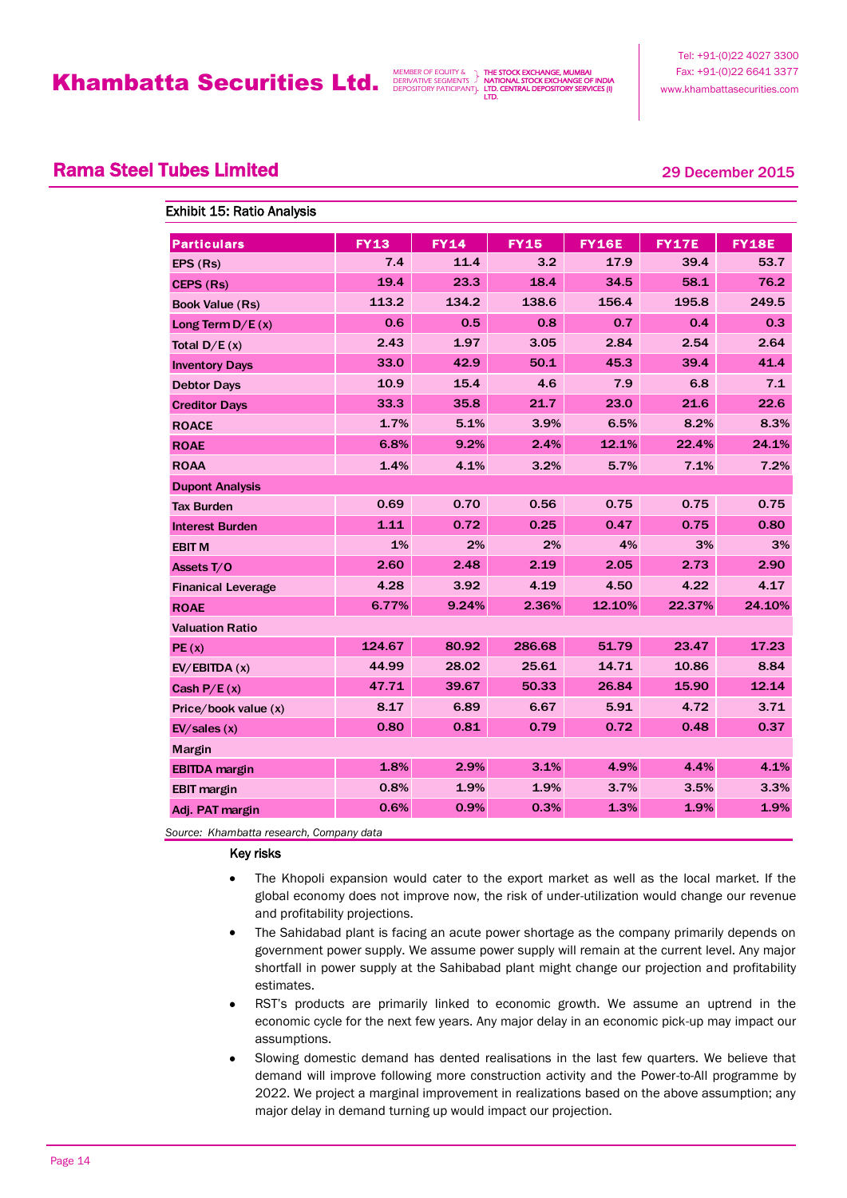THE STOCK EXCHANGE, MUMBAI NATIONAL STOCK EXCHANGE OF INDIA LTD. CENTRAL DEPOSITORY SERVICES (I) LTD.

Tel: +91-(0)22 4027 3300 Fax: +91-(0)22 6641 3377 www.khambattasecurities.com

## **Rama Steel Tubes Limited 2015** 29 December 2015

|  | <b>Exhibit 15: Ratio Analysis</b> |
|--|-----------------------------------|
|  |                                   |

| <b>Particulars</b>        | <b>FY13</b> | <b>FY14</b> | <b>FY15</b> | <b>FY16E</b> | FY17E  | <b>FY18E</b> |
|---------------------------|-------------|-------------|-------------|--------------|--------|--------------|
| EPS (Rs)                  | 7.4         | 11.4        | 3.2         | 17.9         | 39.4   | 53.7         |
| CEPS (Rs)                 | 19.4        | 23.3        | 18.4        | 34.5         | 58.1   | 76.2         |
| <b>Book Value (Rs)</b>    | 113.2       | 134.2       | 138.6       | 156.4        | 195.8  | 249.5        |
| Long Term $D/E(x)$        | 0.6         | 0.5         | 0.8         | 0.7          | 0.4    | 0.3          |
| Total $D/E(x)$            | 2.43        | 1.97        | 3.05        | 2.84         | 2.54   | 2.64         |
| <b>Inventory Days</b>     | 33.0        | 42.9        | 50.1        | 45.3         | 39.4   | 41.4         |
| <b>Debtor Days</b>        | 10.9        | 15.4        | 4.6         | 7.9          | 6.8    | 7.1          |
| <b>Creditor Days</b>      | 33.3        | 35.8        | 21.7        | 23.0         | 21.6   | 22.6         |
| <b>ROACE</b>              | 1.7%        | 5.1%        | 3.9%        | 6.5%         | 8.2%   | 8.3%         |
| <b>ROAE</b>               | 6.8%        | 9.2%        | 2.4%        | 12.1%        | 22.4%  | 24.1%        |
| <b>ROAA</b>               | 1.4%        | 4.1%        | 3.2%        | 5.7%         | 7.1%   | 7.2%         |
| <b>Dupont Analysis</b>    |             |             |             |              |        |              |
| <b>Tax Burden</b>         | 0.69        | 0.70        | 0.56        | 0.75         | 0.75   | 0.75         |
| <b>Interest Burden</b>    | 1.11        | 0.72        | 0.25        | 0.47         | 0.75   | 0.80         |
| <b>EBIT M</b>             | 1%          | 2%          | 2%          | 4%           | 3%     | 3%           |
| Assets T/O                | 2.60        | 2.48        | 2.19        | 2.05         | 2.73   | 2.90         |
| <b>Finanical Leverage</b> | 4.28        | 3.92        | 4.19        | 4.50         | 4.22   | 4.17         |
| <b>ROAE</b>               | 6.77%       | 9.24%       | 2.36%       | 12.10%       | 22.37% | 24.10%       |
| <b>Valuation Ratio</b>    |             |             |             |              |        |              |
| PE(x)                     | 124.67      | 80.92       | 286.68      | 51.79        | 23.47  | 17.23        |
| EV/EBITDA(x)              | 44.99       | 28.02       | 25.61       | 14.71        | 10.86  | 8.84         |
| Cash $P/E(x)$             | 47.71       | 39.67       | 50.33       | 26.84        | 15.90  | 12.14        |
| Price/book value $(x)$    | 8.17        | 6.89        | 6.67        | 5.91         | 4.72   | 3.71         |
| EV/sales(x)               | 0.80        | 0.81        | 0.79        | 0.72         | 0.48   | 0.37         |
| Margin                    |             |             |             |              |        |              |
| <b>EBITDA</b> margin      | 1.8%        | 2.9%        | 3.1%        | 4.9%         | 4.4%   | 4.1%         |
| <b>EBIT</b> margin        | 0.8%        | 1.9%        | 1.9%        | 3.7%         | 3.5%   | 3.3%         |
| Adj. PAT margin           | 0.6%        | 0.9%        | 0.3%        | 1.3%         | 1.9%   | 1.9%         |

*Source: Khambatta research, Company data*

Key risks

- The Khopoli expansion would cater to the export market as well as the local market. If the global economy does not improve now, the risk of under-utilization would change our revenue and profitability projections.
- The Sahidabad plant is facing an acute power shortage as the company primarily depends on government power supply. We assume power supply will remain at the current level. Any major shortfall in power supply at the Sahibabad plant might change our projection and profitability estimates.
- RST's products are primarily linked to economic growth. We assume an uptrend in the economic cycle for the next few years. Any major delay in an economic pick-up may impact our assumptions.
- Slowing domestic demand has dented realisations in the last few quarters. We believe that demand will improve following more construction activity and the Power-to-All programme by 2022. We project a marginal improvement in realizations based on the above assumption; any major delay in demand turning up would impact our projection.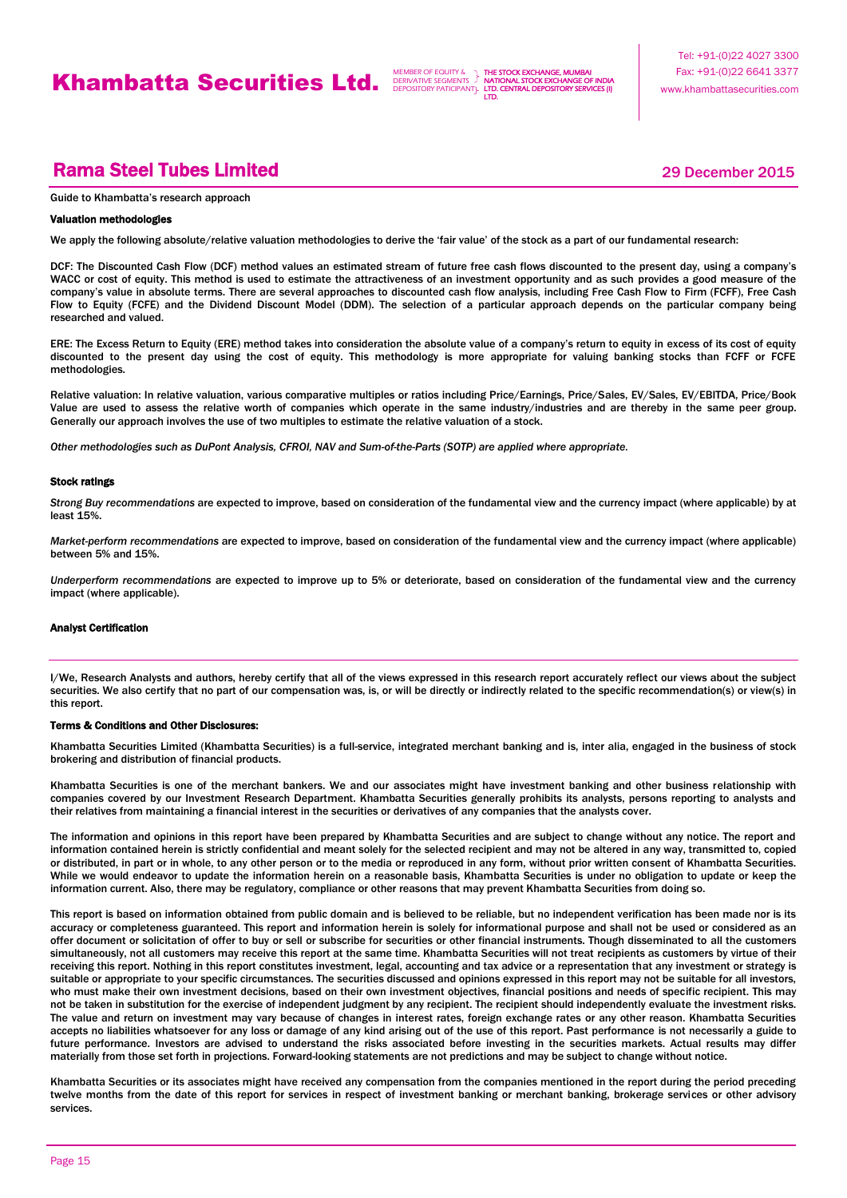THE STOCK EXCHANGE, MUMBAI **AL STOCK EXCHANGE OF** NATIO<br>LTD. CI LTD.

## **Rama Steel Tubes Limited 2015** 29 December 2015

Guide to Khambatta's research approach

#### Valuation methodologies

We apply the following absolute/relative valuation methodologies to derive the 'fair value' of the stock as a part of our fundamental research:

DCF: The Discounted Cash Flow (DCF) method values an estimated stream of future free cash flows discounted to the present day, using a company's WACC or cost of equity. This method is used to estimate the attractiveness of an investment opportunity and as such provides a good measure of the company's value in absolute terms. There are several approaches to discounted cash flow analysis, including Free Cash Flow to Firm (FCFF), Free Cash Flow to Equity (FCFE) and the Dividend Discount Model (DDM). The selection of a particular approach depends on the particular company being researched and valued.

ERE: The Excess Return to Equity (ERE) method takes into consideration the absolute value of a company's return to equity in excess of its cost of equity discounted to the present day using the cost of equity. This methodology is more appropriate for valuing banking stocks than FCFF or FCFE methodologies.

Relative valuation: In relative valuation, various comparative multiples or ratios including Price/Earnings, Price/Sales, EV/Sales, EV/EBITDA, Price/Book Value are used to assess the relative worth of companies which operate in the same industry/industries and are thereby in the same peer group. Generally our approach involves the use of two multiples to estimate the relative valuation of a stock.

*Other methodologies such as DuPont Analysis, CFROI, NAV and Sum-of-the-Parts (SOTP) are applied where appropriate.*

#### Stock ratings

*Strong Buy recommendations* are expected to improve, based on consideration of the fundamental view and the currency impact (where applicable) by at least 15%.

*Market-perform recommendations* are expected to improve, based on consideration of the fundamental view and the currency impact (where applicable) between 5% and 15%.

*Underperform recommendations* are expected to improve up to 5% or deteriorate, based on consideration of the fundamental view and the currency impact (where applicable).

#### Analyst Certification

I/We, Research Analysts and authors, hereby certify that all of the views expressed in this research report accurately reflect our views about the subject securities. We also certify that no part of our compensation was, is, or will be directly or indirectly related to the specific recommendation(s) or view(s) in this report.

#### Terms & Conditions and Other Disclosures:

Khambatta Securities Limited (Khambatta Securities) is a full-service, integrated merchant banking and is, inter alia, engaged in the business of stock brokering and distribution of financial products.

Khambatta Securities is one of the merchant bankers. We and our associates might have investment banking and other business relationship with companies covered by our Investment Research Department. Khambatta Securities generally prohibits its analysts, persons reporting to analysts and their relatives from maintaining a financial interest in the securities or derivatives of any companies that the analysts cover.

The information and opinions in this report have been prepared by Khambatta Securities and are subject to change without any notice. The report and information contained herein is strictly confidential and meant solely for the selected recipient and may not be altered in any way, transmitted to, copied or distributed, in part or in whole, to any other person or to the media or reproduced in any form, without prior written consent of Khambatta Securities. While we would endeavor to update the information herein on a reasonable basis. Khambatta Securities is under no obligation to update or keep the information current. Also, there may be regulatory, compliance or other reasons that may prevent Khambatta Securities from doing so.

This report is based on information obtained from public domain and is believed to be reliable, but no independent verification has been made nor is its accuracy or completeness guaranteed. This report and information herein is solely for informational purpose and shall not be used or considered as an offer document or solicitation of offer to buy or sell or subscribe for securities or other financial instruments. Though disseminated to all the customers simultaneously, not all customers may receive this report at the same time. Khambatta Securities will not treat recipients as customers by virtue of their receiving this report. Nothing in this report constitutes investment, legal, accounting and tax advice or a representation that any investment or strategy is suitable or appropriate to your specific circumstances. The securities discussed and opinions expressed in this report may not be suitable for all investors, who must make their own investment decisions, based on their own investment objectives, financial positions and needs of specific recipient. This may not be taken in substitution for the exercise of independent judgment by any recipient. The recipient should independently evaluate the investment risks. The value and return on investment may vary because of changes in interest rates, foreign exchange rates or any other reason. Khambatta Securities accepts no liabilities whatsoever for any loss or damage of any kind arising out of the use of this report. Past performance is not necessarily a guide to future performance. Investors are advised to understand the risks associated before investing in the securities markets. Actual results may differ materially from those set forth in projections. Forward-looking statements are not predictions and may be subject to change without notice.

Khambatta Securities or its associates might have received any compensation from the companies mentioned in the report during the period preceding twelve months from the date of this report for services in respect of investment banking or merchant banking, brokerage services or other advisory services.